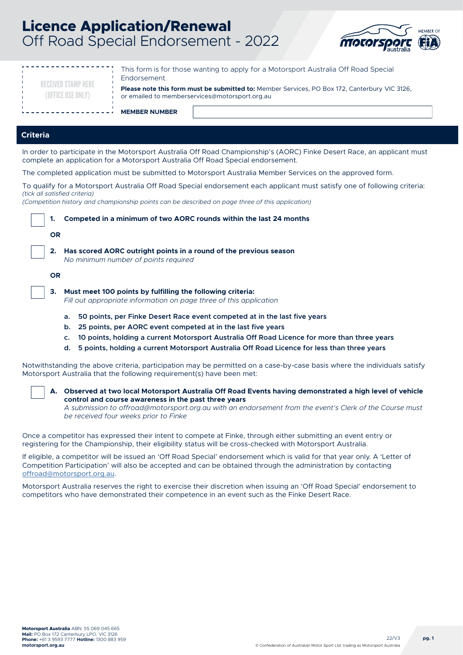# **Licence Application/Renewal** Off Road Special Endorsement - 2022



| This form is for those wanting to apply for a Motorsport Australia Off Road Special<br>Endorsement.<br><b>RECEIVED STAMP HERE</b><br>Please note this form must be submitted to: Member Services, PO Box 172, Canterbury VIC 3126, |  |  |  |  |
|------------------------------------------------------------------------------------------------------------------------------------------------------------------------------------------------------------------------------------|--|--|--|--|
| (OFFICE USE ONLY)<br>or emailed to memberservices@motorsport.org.au                                                                                                                                                                |  |  |  |  |
| <b>MEMBER NUMBER</b>                                                                                                                                                                                                               |  |  |  |  |
|                                                                                                                                                                                                                                    |  |  |  |  |
| <b>Criteria</b>                                                                                                                                                                                                                    |  |  |  |  |
| In order to participate in the Motorsport Australia Off Road Championship's (AORC) Finke Desert Race, an applicant must<br>complete an application for a Motorsport Australia Off Road Special endorsement.                        |  |  |  |  |
| The completed application must be submitted to Motorsport Australia Member Services on the approved form.                                                                                                                          |  |  |  |  |
| To qualify for a Motorsport Australia Off Road Special endorsement each applicant must satisfy one of following criteria:<br>(tick all satisfied criteria)                                                                         |  |  |  |  |
| (Competition history and championship points can be described on page three of this application)                                                                                                                                   |  |  |  |  |
| Competed in a minimum of two AORC rounds within the last 24 months<br>1.                                                                                                                                                           |  |  |  |  |
| <b>OR</b>                                                                                                                                                                                                                          |  |  |  |  |
| 2.<br>Has scored AORC outright points in a round of the previous season<br>No minimum number of points required                                                                                                                    |  |  |  |  |
| <b>OR</b>                                                                                                                                                                                                                          |  |  |  |  |
| Must meet 100 points by fulfilling the following criteria:<br>3.<br>Fill out appropriate information on page three of this application                                                                                             |  |  |  |  |
| 50 points, per Finke Desert Race event competed at in the last five years<br>a.                                                                                                                                                    |  |  |  |  |
| 25 points, per AORC event competed at in the last five years<br>b.                                                                                                                                                                 |  |  |  |  |
| 10 points, holding a current Motorsport Australia Off Road Licence for more than three years<br>c.                                                                                                                                 |  |  |  |  |
| 5 points, holding a current Motorsport Australia Off Road Licence for less than three years<br>d.                                                                                                                                  |  |  |  |  |
| Notwithstanding the above criteria, participation may be permitted on a case-by-case basis where the individuals satisfy<br>Motorsport Australia that the following requirement(s) have been met:                                  |  |  |  |  |

**A. Observed at two local Motorsport Australia Off Road Events having demonstrated a high level of vehicle control and course awareness in the past three years**

*A submission to offroad@motorsport.org.au with an endorsement from the event's Clerk of the Course must be received four weeks prior to Finke*

Once a competitor has expressed their intent to compete at Finke, through either submitting an event entry or registering for the Championship, their eligibility status will be cross-checked with Motorsport Australia.

If eligible, a competitor will be issued an 'Off Road Special' endorsement which is valid for that year only. A 'Letter of Competition Participation' will also be accepted and can be obtained through the administration by contacting [offroad@motorsport.org.au](mailto:offroad%40motorsport.org.au?subject=).

Motorsport Australia reserves the right to exercise their discretion when issuing an 'Off Road Special' endorsement to competitors who have demonstrated their competence in an event such as the Finke Desert Race.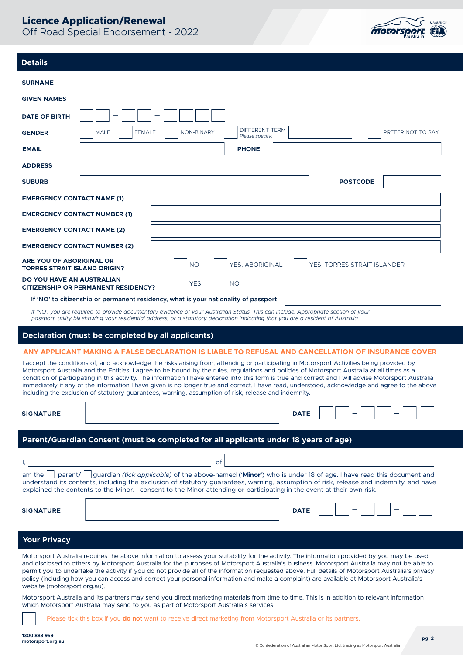

| <b>Details</b>                                                                                                                                                                                                                                                                                                                                                                                                                                                                                                                                                                                                                                                                                             |                                                                                                                                                                                                                                                                                                                                                                                                                                                                                                                                                                                               |  |  |  |  |
|------------------------------------------------------------------------------------------------------------------------------------------------------------------------------------------------------------------------------------------------------------------------------------------------------------------------------------------------------------------------------------------------------------------------------------------------------------------------------------------------------------------------------------------------------------------------------------------------------------------------------------------------------------------------------------------------------------|-----------------------------------------------------------------------------------------------------------------------------------------------------------------------------------------------------------------------------------------------------------------------------------------------------------------------------------------------------------------------------------------------------------------------------------------------------------------------------------------------------------------------------------------------------------------------------------------------|--|--|--|--|
| <b>SURNAME</b>                                                                                                                                                                                                                                                                                                                                                                                                                                                                                                                                                                                                                                                                                             |                                                                                                                                                                                                                                                                                                                                                                                                                                                                                                                                                                                               |  |  |  |  |
| <b>GIVEN NAMES</b>                                                                                                                                                                                                                                                                                                                                                                                                                                                                                                                                                                                                                                                                                         |                                                                                                                                                                                                                                                                                                                                                                                                                                                                                                                                                                                               |  |  |  |  |
| <b>DATE OF BIRTH</b>                                                                                                                                                                                                                                                                                                                                                                                                                                                                                                                                                                                                                                                                                       |                                                                                                                                                                                                                                                                                                                                                                                                                                                                                                                                                                                               |  |  |  |  |
| <b>GENDER</b>                                                                                                                                                                                                                                                                                                                                                                                                                                                                                                                                                                                                                                                                                              | <b>DIFFERENT TERM</b><br><b>MALE</b><br><b>FEMALE</b><br><b>NON-BINARY</b><br>PREFER NOT TO SAY<br>Please specify:                                                                                                                                                                                                                                                                                                                                                                                                                                                                            |  |  |  |  |
| <b>EMAIL</b>                                                                                                                                                                                                                                                                                                                                                                                                                                                                                                                                                                                                                                                                                               | <b>PHONE</b>                                                                                                                                                                                                                                                                                                                                                                                                                                                                                                                                                                                  |  |  |  |  |
| <b>ADDRESS</b>                                                                                                                                                                                                                                                                                                                                                                                                                                                                                                                                                                                                                                                                                             |                                                                                                                                                                                                                                                                                                                                                                                                                                                                                                                                                                                               |  |  |  |  |
| <b>SUBURB</b>                                                                                                                                                                                                                                                                                                                                                                                                                                                                                                                                                                                                                                                                                              | <b>POSTCODE</b>                                                                                                                                                                                                                                                                                                                                                                                                                                                                                                                                                                               |  |  |  |  |
| <b>EMERGENCY CONTACT NAME (1)</b>                                                                                                                                                                                                                                                                                                                                                                                                                                                                                                                                                                                                                                                                          |                                                                                                                                                                                                                                                                                                                                                                                                                                                                                                                                                                                               |  |  |  |  |
| <b>EMERGENCY CONTACT NUMBER (1)</b>                                                                                                                                                                                                                                                                                                                                                                                                                                                                                                                                                                                                                                                                        |                                                                                                                                                                                                                                                                                                                                                                                                                                                                                                                                                                                               |  |  |  |  |
| <b>EMERGENCY CONTACT NAME (2)</b>                                                                                                                                                                                                                                                                                                                                                                                                                                                                                                                                                                                                                                                                          |                                                                                                                                                                                                                                                                                                                                                                                                                                                                                                                                                                                               |  |  |  |  |
| <b>EMERGENCY CONTACT NUMBER (2)</b>                                                                                                                                                                                                                                                                                                                                                                                                                                                                                                                                                                                                                                                                        |                                                                                                                                                                                                                                                                                                                                                                                                                                                                                                                                                                                               |  |  |  |  |
| ARE YOU OF ABORIGINAL OR<br><b>TORRES STRAIT ISLAND ORIGIN?</b>                                                                                                                                                                                                                                                                                                                                                                                                                                                                                                                                                                                                                                            | <b>NO</b><br><b>YES. ABORIGINAL</b><br>YES, TORRES STRAIT ISLANDER                                                                                                                                                                                                                                                                                                                                                                                                                                                                                                                            |  |  |  |  |
| DO YOU HAVE AN AUSTRALIAN                                                                                                                                                                                                                                                                                                                                                                                                                                                                                                                                                                                                                                                                                  | <b>YES</b><br><b>NO</b><br><b>CITIZENSHIP OR PERMANENT RESIDENCY?</b>                                                                                                                                                                                                                                                                                                                                                                                                                                                                                                                         |  |  |  |  |
|                                                                                                                                                                                                                                                                                                                                                                                                                                                                                                                                                                                                                                                                                                            | If 'NO' to citizenship or permanent residency, what is your nationality of passport                                                                                                                                                                                                                                                                                                                                                                                                                                                                                                           |  |  |  |  |
|                                                                                                                                                                                                                                                                                                                                                                                                                                                                                                                                                                                                                                                                                                            | If 'NO', you are required to provide documentary evidence of your Australian Status. This can include: Appropriate section of your<br>passport, utility bill showing your residential address, or a statutory declaration indicating that you are a resident of Australia.                                                                                                                                                                                                                                                                                                                    |  |  |  |  |
|                                                                                                                                                                                                                                                                                                                                                                                                                                                                                                                                                                                                                                                                                                            | Declaration (must be completed by all applicants)                                                                                                                                                                                                                                                                                                                                                                                                                                                                                                                                             |  |  |  |  |
|                                                                                                                                                                                                                                                                                                                                                                                                                                                                                                                                                                                                                                                                                                            | ANY APPLICANT MAKING A FALSE DECLARATION IS LIABLE TO REFUSAL AND CANCELLATION OF INSURANCE COVER                                                                                                                                                                                                                                                                                                                                                                                                                                                                                             |  |  |  |  |
| I accept the conditions of, and acknowledge the risks arising from, attending or participating in Motorsport Activities being provided by<br>Motorsport Australia and the Entities. I agree to be bound by the rules, regulations and policies of Motorsport Australia at all times as a<br>condition of participating in this activity. The information I have entered into this form is true and correct and I will advise Motorsport Australia<br>immediately if any of the information I have given is no longer true and correct. I have read, understood, acknowledge and agree to the above<br>including the exclusion of statutory quarantees, warning, assumption of risk, release and indemnity. |                                                                                                                                                                                                                                                                                                                                                                                                                                                                                                                                                                                               |  |  |  |  |
| <b>SIGNATURE</b>                                                                                                                                                                                                                                                                                                                                                                                                                                                                                                                                                                                                                                                                                           | <b>DATE</b>                                                                                                                                                                                                                                                                                                                                                                                                                                                                                                                                                                                   |  |  |  |  |
|                                                                                                                                                                                                                                                                                                                                                                                                                                                                                                                                                                                                                                                                                                            | Parent/Guardian Consent (must be completed for all applicants under 18 years of age)                                                                                                                                                                                                                                                                                                                                                                                                                                                                                                          |  |  |  |  |
|                                                                                                                                                                                                                                                                                                                                                                                                                                                                                                                                                                                                                                                                                                            | of                                                                                                                                                                                                                                                                                                                                                                                                                                                                                                                                                                                            |  |  |  |  |
| parent/<br>am the                                                                                                                                                                                                                                                                                                                                                                                                                                                                                                                                                                                                                                                                                          | guardian <i>(tick applicable)</i> of the above-named (' <b>Minor</b> ') who is under 18 of age. I have read this document and<br>understand its contents, including the exclusion of statutory guarantees, warning, assumption of risk, release and indemnity, and have<br>explained the contents to the Minor. I consent to the Minor attending or participating in the event at their own risk.                                                                                                                                                                                             |  |  |  |  |
| <b>SIGNATURE</b>                                                                                                                                                                                                                                                                                                                                                                                                                                                                                                                                                                                                                                                                                           | <b>DATE</b>                                                                                                                                                                                                                                                                                                                                                                                                                                                                                                                                                                                   |  |  |  |  |
| <b>Your Privacy</b>                                                                                                                                                                                                                                                                                                                                                                                                                                                                                                                                                                                                                                                                                        |                                                                                                                                                                                                                                                                                                                                                                                                                                                                                                                                                                                               |  |  |  |  |
| website (motorsport.org.au).                                                                                                                                                                                                                                                                                                                                                                                                                                                                                                                                                                                                                                                                               | Motorsport Australia requires the above information to assess your suitability for the activity. The information provided by you may be used<br>and disclosed to others by Motorsport Australia for the purposes of Motorsport Australia's business. Motorsport Australia may not be able to<br>permit you to undertake the activity if you do not provide all of the information requested above. Full details of Motorsport Australia's privacy<br>policy (including how you can access and correct your personal information and make a complaint) are available at Motorsport Australia's |  |  |  |  |

Motorsport Australia and its partners may send you direct marketing materials from time to time. This is in addition to relevant information which Motorsport Australia may send to you as part of Motorsport Australia's services.

Please tick this box if you **do not** want to receive direct marketing from Motorsport Australia or its partners.